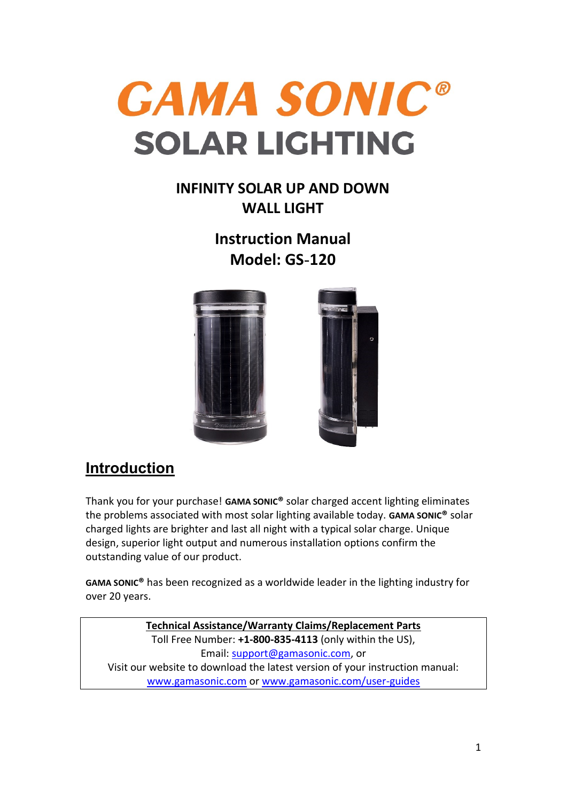

## **INFINITY SOLAR UP AND DOWN WALL LIGHT**

**Instruction Manual Model: GS**-**120**



# **Introduction**

Thank you for your purchase! **GAMA SONIC®** solar charged accent lighting eliminates the problems associated with most solar lighting available today. **GAMA SONIC®** solar charged lights are brighter and last all night with a typical solar charge. Unique design, superior light output and numerous installation options confirm the outstanding value of our product.

**GAMA SONIC®** has been recognized as a worldwide leader in the lighting industry for over 20 years.

**Technical Assistance/Warranty Claims/Replacement Parts** Toll Free Number: **+1-800-835-4113** (only within the US), Email: [support@gamasonic.com,](mailto:support@gamasonic.com) or Visit our website to download the latest version of your instruction manual: [www.gamasonic.com](file:///C:/Users/PM/AppData/Local/Microsoft/Windows/Temporary%20Internet%20Files/Content.Outlook/W5KHCU4N/www.gamasonic.com) or [www.gamasonic.com/user-guides](file:///C:/Users/PM/AppData/Local/Microsoft/Windows/Temporary%20Internet%20Files/Content.Outlook/W5KHCU4N/www.gamasonic.com/user-guides)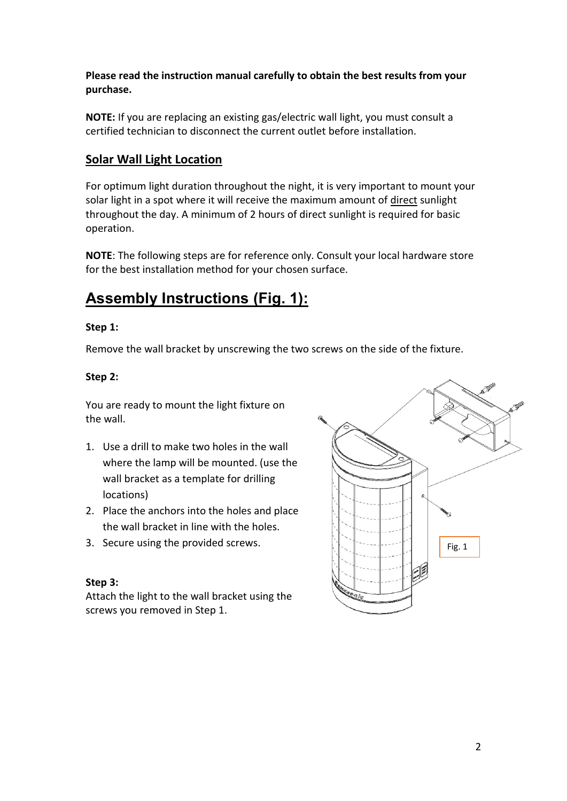#### **Please read the instruction manual carefully to obtain the best results from your purchase.**

**NOTE:** If you are replacing an existing gas/electric wall light, you must consult a certified technician to disconnect the current outlet before installation.

#### **Solar Wall Light Location**

For optimum light duration throughout the night, it is very important to mount your solar light in a spot where it will receive the maximum amount of direct sunlight throughout the day. A minimum of 2 hours of direct sunlight is required for basic operation.

**NOTE**: The following steps are for reference only. Consult your local hardware store for the best installation method for your chosen surface.

## **Assembly Instructions (Fig. 1):**

#### **Step 1:**

Remove the wall bracket by unscrewing the two screws on the side of the fixture.

#### **Step 2:**

You are ready to mount the light fixture on the wall.

- 1. Use a drill to make two holes in the wall where the lamp will be mounted. (use the wall bracket as a template for drilling locations)
- 2. Place the anchors into the holes and place the wall bracket in line with the holes.
- 3. Secure using the provided screws.

#### **Step 3:**

Attach the light to the wall bracket using the screws you removed in Step 1.

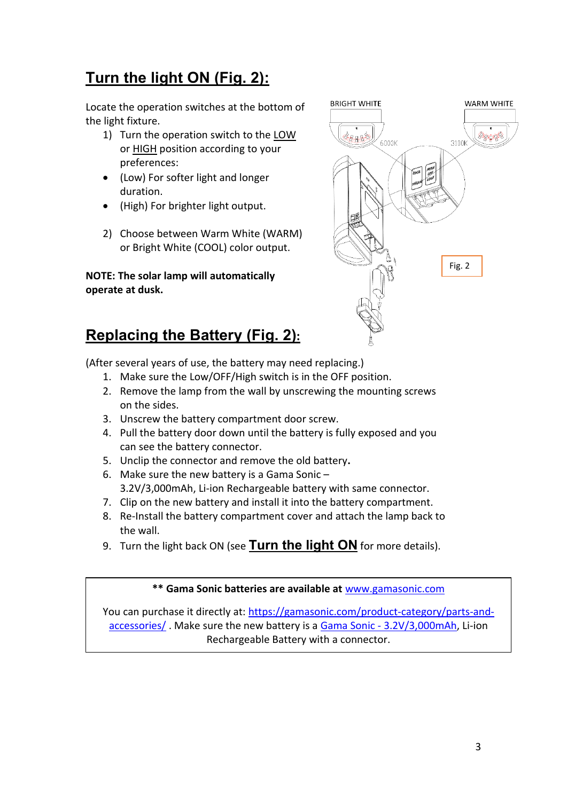# **Turn the light ON (Fig. 2):**

Locate the operation switches at the bottom of the light fixture.

- 1) Turn the operation switch to the LOW or HIGH position according to your preferences:
- (Low) For softer light and longer duration.
- (High) For brighter light output.
- 2) Choose between Warm White (WARM) or Bright White (COOL) color output.

**NOTE: The solar lamp will automatically operate at dusk.**



# **Replacing the Battery (Fig. 2):**

(After several years of use, the battery may need replacing.)

- 1. Make sure the Low/OFF/High switch is in the OFF position.
- 2. Remove the lamp from the wall by unscrewing the mounting screws on the sides.
- 3. Unscrew the battery compartment door screw.
- 4. Pull the battery door down until the battery is fully exposed and you can see the battery connector.
- 5. Unclip the connector and remove the old battery**.**
- 6. Make sure the new battery is a Gama Sonic 3.2V/3,000mAh, Li-ion Rechargeable battery with same connector.
- 7. Clip on the new battery and install it into the battery compartment.
- 8. Re-Install the battery compartment cover and attach the lamp back to the wall.
- 9. Turn the light back ON (see **Turn the light ON** for more details).

#### **\*\* Gama Sonic batteries are available at** [www.gamasonic.com](http://www.gamasonic.com/)

You can purchase it directly at: [https://gamasonic.com/product-category/parts-and](https://gamasonic.com/product-category/parts-and-accessories/)[accessories/](https://gamasonic.com/product-category/parts-and-accessories/). Make sure the new battery is a Gama Sonic - [3.2V/3,000mAh,](https://gamasonic.com/product/gama-sonic-3-2v-3000mah-li-ion-battery-pack/?prd=ser) Li-ion Rechargeable Battery with a connector.